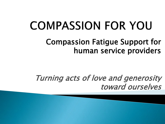# **COMPASSION FOR YOU**

#### Compassion Fatigue Support for human service providers

#### Turning acts of love and generosity toward ourselves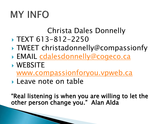# **MY INFO**

#### Christa Dales Donnelly

- $\triangleright$  TEXT 613-812-2250
- ▶ TWEET christadonnelly@compassionfy
- EMAIL [cdalesdonnelly@cogeco.ca](mailto:cdalesdonnelly@cogeco.ca)
- WEBSITE
	- [www.compassionforyou.vpweb.ca](http://www.compassionforyou.vpweb.ca/)
- **Leave note on table**

"Real listening is when you are willing to let the other person change you." Alan Alda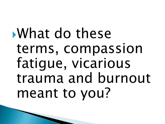What do these terms, compassion fatigue, vicarious trauma and burnout meant to you?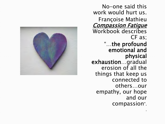No-one said this work would hurt us. Françoise Mathieu **Compassion Fatigue** Workbook describes CF as; "…the profound emotional and physical exhaustion…gradual erosion of all the things that keep us connected to others…our empathy, our hope and our compassion".

11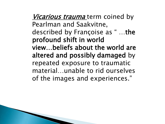*Vicarious trauma* term coined by Pearlman and Saakvitne, described by Françoise as " …the profound shift in world view…beliefs about the world are altered and possibly damaged by repeated exposure to traumatic material…unable to rid ourselves of the images and experiences."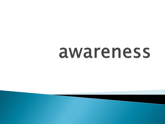# awareness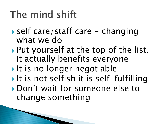# The mind shift

- ▶ self care/staff care changing what we do
- Put yourself at the top of the list. It actually benefits everyone
- It is no longer negotiable
- It is not selfish it is self-fulfilling
- Don't wait for someone else to change something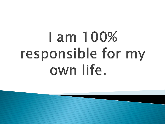# I am 100% responsible for my own life.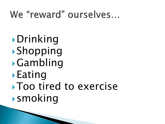## We "reward" ourselves...

Drinking Shopping Gambling **Eating** Too tired to exercise **Smoking**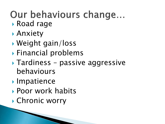#### Our behaviours change... Road rage

- Anxiety
- Weight gain/loss
- Financial problems
- Tardiness passive aggressive behaviours
- **Impatience**
- Poor work habits
- ▶ Chronic worry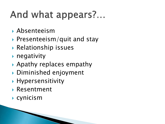# And what appears?...

- Absenteeism
- $\blacktriangleright$  Presenteeism/quit and stay
- Relationship issues
- $\triangleright$  negativity
- Apathy replaces empathy
- Diminished enjoyment
- **Hypersensitivity**
- Resentment
- cynicism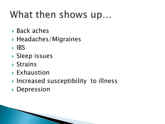# What then shows up...

- Back aches
- $\blacktriangleright$  Headaches/Migraines
- $\triangleright$  IBS
- ▶ Sleep issues
- Strains
- Exhaustion
- ▶ Increased susceptibility to illness
- **Depression**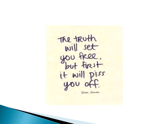The truth will set it will piss Gloria Stronen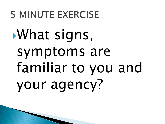# **5 MINUTE EXERCISE**

What signs, symptoms are familiar to you and your agency?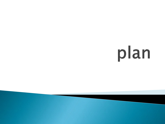# plan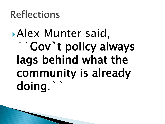## **Reflections**

# Alex Munter said, ``Gov`t policy always lags behind what the community is already doing.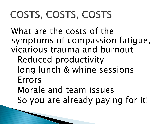# COSTS, COSTS, COSTS

What are the costs of the symptoms of compassion fatigue, vicarious trauma and burnout  $-$ 

- Reduced productivity
- long lunch & whine sessions
- Errors
- Morale and team issues
- So you are already paying for it!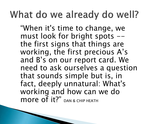## What do we already do well?

"When it's time to change, we must look for bright spots -the first signs that things are working, the first precious A's and B's on our report card. We need to ask ourselves a question that sounds simple but is, in fact, deeply unnatural: What's working and how can we do more of it?" DAN & CHIP HEATH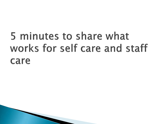# 5 minutes to share what works for self care and staff care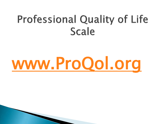# **Professional Quality of Life Scale**

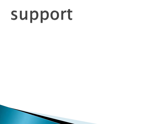# support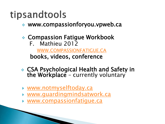## tipsandtools

- www.compassionforyou.vpweb.ca
- Compassion Fatigue Workbook
	- F. Mathieu 2012

[WWW.COMPASSIONFATIGUE.CA](http://www.compassionfatigue.ca/) books, videos, conference

- CSA Psychological Health and Safety in the Workplace - currently voluntary
- [www.notmyselftoday.ca](http://www.notmyselftoday.ca/)
- [www.guardingmindsatwork.ca](http://www.guardingmindsatwork.ca/)
- [www.compassionfatigue.ca](http://www.compassionfatigue.ca/)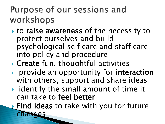### Purpose of our sessions and workshops

- **to raise awareness of the necessity to** protect ourselves and build psychological self care and staff care into policy and procedure
- ▶ Create fun, thoughtful activities
- **Perovide an opportunity for interaction** with others, support and share ideas
- $\triangleright$  identify the small amount of time it can take to feel better

**Example 1 Find ideas to take with you for future** aes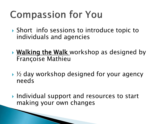# **Compassion for You**

- ▶ Short info sessions to introduce topic to individuals and agencies
- ▶ Walking the Walk workshop as designed by Françoise Mathieu
- ▶ ½ day workshop designed for your agency needs
- ▶ Individual support and resources to start making your own changes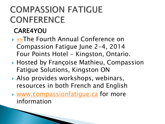## **COMPASSION FATIGUE CONFERENCE**

#### CARE4YOU

- [«](https://compassionfatigue.ca/services/organisational-health/)[»](https://compassionfatigue.ca/services/webinars/)The Fourth Annual Conference on Compassion Fatigue June 2-4, 2014 Four Points Hotel - Kingston, Ontario.
- ▶ Hosted by Françoise Mathieu, Compassion Fatigue Solutions, Kingston ON
- Also provides workshops, webinars, resources in both French and English
- [www.compassionfatigue.ca](http://www.compassionfatigue.ca/) for more information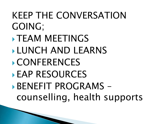## KEEP THE CONVERSATION GOING;

- **TEAM MEETINGS**
- **LUNCH AND LEARNS**
- CONFERENCES

**The Common Street, Inc.** 

EAP RESOURCES

BENEFIT PROGRAMS – counselling, health supports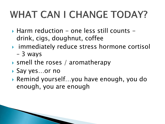# **WHAT CAN I CHANGE TODAY?**

- $\triangleright$  Harm reduction one less still counts drink, cigs, doughnut, coffee
- **Fig.** immediately reduce stress hormone cortisol
	- 3 ways
- ▶ smell the roses / aromatherapy
- ▶ Say yes...or no
- Remind yourself…you have enough, you do enough, you are enough